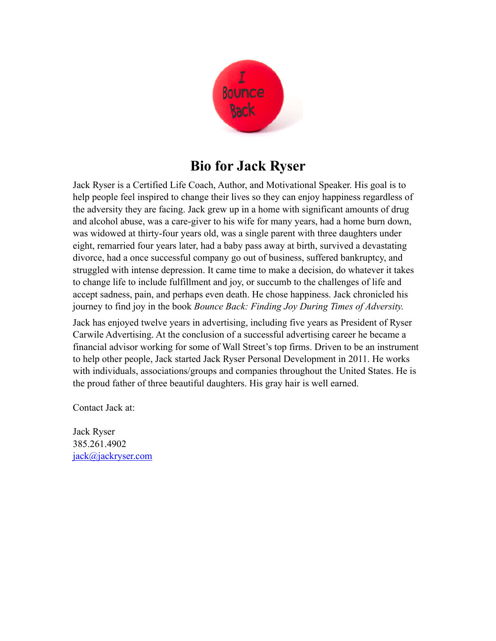

## **Bio for Jack Ryser**

Jack Ryser is a Certified Life Coach, Author, and Motivational Speaker. His goal is to help people feel inspired to change their lives so they can enjoy happiness regardless of the adversity they are facing. Jack grew up in a home with significant amounts of drug and alcohol abuse, was a care-giver to his wife for many years, had a home burn down, was widowed at thirty-four years old, was a single parent with three daughters under eight, remarried four years later, had a baby pass away at birth, survived a devastating divorce, had a once successful company go out of business, suffered bankruptcy, and struggled with intense depression. It came time to make a decision, do whatever it takes to change life to include fulfillment and joy, or succumb to the challenges of life and accept sadness, pain, and perhaps even death. He chose happiness. Jack chronicled his journey to find joy in the book *Bounce Back: Finding Joy During Times of Adversity.*

Jack has enjoyed twelve years in advertising, including five years as President of Ryser Carwile Advertising. At the conclusion of a successful advertising career he became a financial advisor working for some of Wall Street's top firms. Driven to be an instrument to help other people, Jack started Jack Ryser Personal Development in 2011. He works with individuals, associations/groups and companies throughout the United States. He is the proud father of three beautiful daughters. His gray hair is well earned.

Contact Jack at:

Jack Ryser 385.261.4902 [jack@jackryser.com](mailto:jack@jackryser.com)